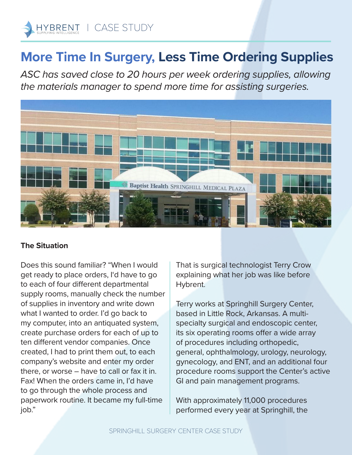

## **More Time In Surgery, Less Time Ordering Supplies**

*ASC has saved close to 20 hours per week ordering supplies, allowing the materials manager to spend more time for assisting surgeries.*



## **The Situation**

Does this sound familiar? "When I would get ready to place orders, I'd have to go to each of four different departmental supply rooms, manually check the number of supplies in inventory and write down what I wanted to order. I'd go back to my computer, into an antiquated system, create purchase orders for each of up to ten different vendor companies. Once created, I had to print them out, to each company's website and enter my order there, or worse – have to call or fax it in. Fax! When the orders came in, I'd have to go through the whole process and paperwork routine. It became my full-time job."

That is surgical technologist Terry Crow explaining what her job was like before Hybrent.

Terry works at Springhill Surgery Center, based in Little Rock, Arkansas. A multispecialty surgical and endoscopic center, its six operating rooms offer a wide array of procedures including orthopedic, general, ophthalmology, urology, neurology, gynecology, and ENT, and an additional four procedure rooms support the Center's active GI and pain management programs.

With approximately 11,000 procedures performed every year at Springhill, the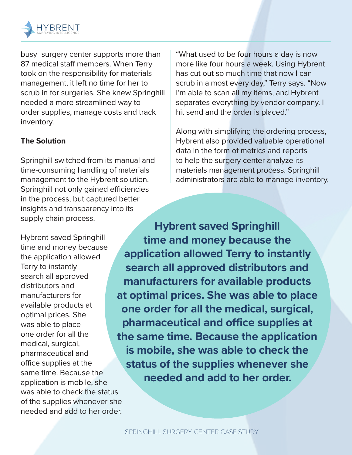

busy surgery center supports more than 87 medical staff members. When Terry took on the responsibility for materials management, it left no time for her to scrub in for surgeries. She knew Springhill needed a more streamlined way to order supplies, manage costs and track inventory.

## **The Solution**

Springhill switched from its manual and time-consuming handling of materials management to the Hybrent solution. Springhill not only gained efficiencies in the process, but captured better insights and transparency into its supply chain process.

Hybrent saved Springhill time and money because the application allowed Terry to instantly search all approved distributors and manufacturers for available products at optimal prices. She was able to place one order for all the medical, surgical, pharmaceutical and office supplies at the same time. Because the application is mobile, she was able to check the status of the supplies whenever she needed and add to her order.

"What used to be four hours a day is now more like four hours a week. Using Hybrent has cut out so much time that now I can scrub in almost every day," Terry says. "Now I'm able to scan all my items, and Hybrent separates everything by vendor company. I hit send and the order is placed."

Along with simplifying the ordering process, Hybrent also provided valuable operational data in the form of metrics and reports to help the surgery center analyze its materials management process. Springhill administrators are able to manage inventory,

**Hybrent saved Springhill time and money because the application allowed Terry to instantly search all approved distributors and manufacturers for available products at optimal prices. She was able to place one order for all the medical, surgical, pharmaceutical and office supplies at the same time. Because the application is mobile, she was able to check the status of the supplies whenever she needed and add to her order.**